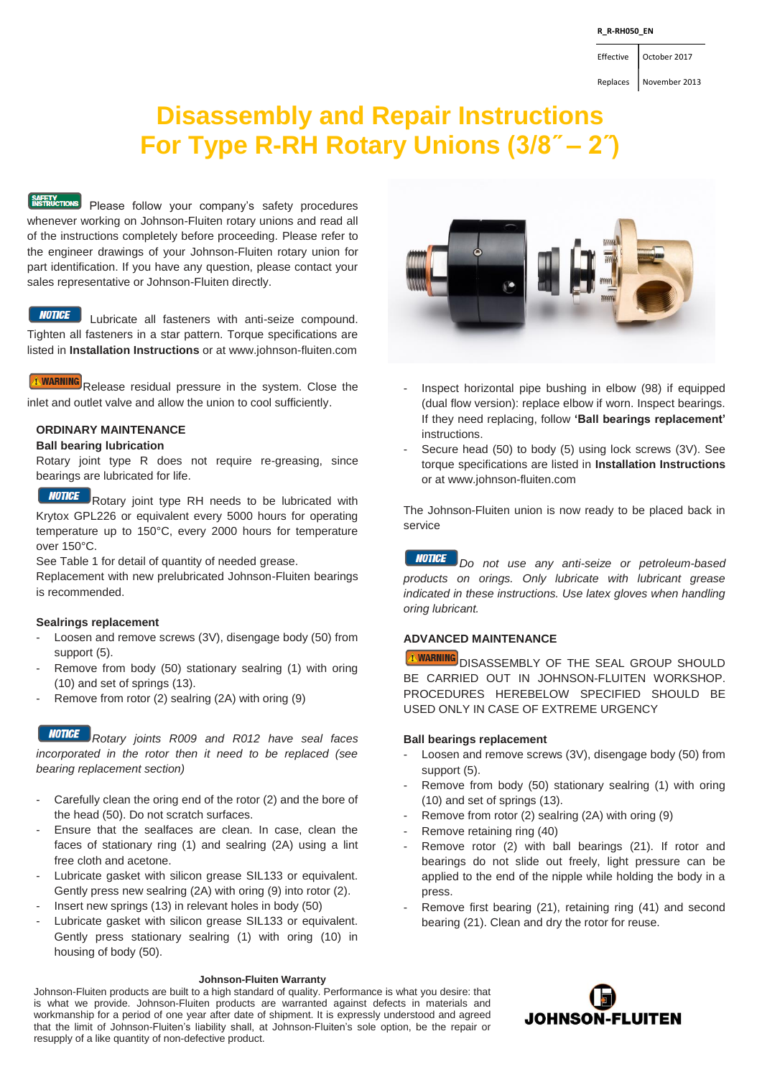### **R\_R-RH050\_EN**

Effective October 2017

Replaces November 2013

# **Disassembly and Repair Instructions For Type R-RH Rotary Unions (3/8˝ – 2˝)**

**EXPETY**<br> **RISTRUCTIONS** Please follow your company's safety procedures whenever working on Johnson-Fluiten rotary unions and read all of the instructions completely before proceeding. Please refer to the engineer drawings of your Johnson-Fluiten rotary union for part identification. If you have any question, please contact your sales representative or Johnson-Fluiten directly.

### **NOTICE**

Lubricate all fasteners with anti-seize compound. Tighten all fasteners in a star pattern. Torque specifications are listed in **Installation Instructions** or at www.johnson-fluiten.com

**T. WARNING** Release residual pressure in the system. Close the inlet and outlet valve and allow the union to cool sufficiently.

# **ORDINARY MAINTENANCE**

### **Ball bearing lubrication**

Rotary joint type R does not require re-greasing, since bearings are lubricated for life.

**NOTICE** Rotary joint type RH needs to be lubricated with Krytox GPL226 or equivalent every 5000 hours for operating temperature up to 150°C, every 2000 hours for temperature over 150°C.

See Table 1 for detail of quantity of needed grease.

Replacement with new prelubricated Johnson-Fluiten bearings is recommended.

# **Sealrings replacement**

- Loosen and remove screws (3V), disengage body (50) from support (5).
- Remove from body (50) stationary sealring (1) with oring (10) and set of springs (13).
- Remove from rotor (2) sealring (2A) with oring (9)

*Rotary joints R009 and R012 have seal faces incorporated in the rotor then it need to be replaced (see bearing replacement section)*

- Carefully clean the oring end of the rotor (2) and the bore of the head (50). Do not scratch surfaces.
- Ensure that the sealfaces are clean. In case, clean the faces of stationary ring (1) and sealring (2A) using a lint free cloth and acetone.
- Lubricate gasket with silicon grease SIL133 or equivalent. Gently press new sealring (2A) with oring (9) into rotor (2).
- Insert new springs (13) in relevant holes in body (50)
- Lubricate gasket with silicon grease SIL133 or equivalent. Gently press stationary sealring (1) with oring (10) in housing of body (50).

### **Johnson-Fluiten Warranty**

Johnson-Fluiten products are built to a high standard of quality. Performance is what you desire: that is what we provide. Johnson-Fluiten products are warranted against defects in materials and workmanship for a period of one year after date of shipment. It is expressly understood and agreed that the limit of Johnson-Fluiten's liability shall, at Johnson-Fluiten's sole option, be the repair or resupply of a like quantity of non-defective product.



- Inspect horizontal pipe bushing in elbow (98) if equipped (dual flow version): replace elbow if worn. Inspect bearings. If they need replacing, follow **'Ball bearings replacement'**  instructions.
- Secure head (50) to body (5) using lock screws (3V). See torque specifications are listed in **Installation Instructions** or at www.johnson-fluiten.com

The Johnson-Fluiten union is now ready to be placed back in service

*Do not use any anti-seize or petroleum-based products on orings. Only lubricate with lubricant grease indicated in these instructions. Use latex gloves when handling oring lubricant.*

# **ADVANCED MAINTENANCE**

*I* **WARNING** DISASSEMBLY OF THE SEAL GROUP SHOULD BE CARRIED OUT IN JOHNSON-FLUITEN WORKSHOP. PROCEDURES HEREBELOW SPECIFIED SHOULD BE USED ONLY IN CASE OF EXTREME URGENCY

### **Ball bearings replacement**

- Loosen and remove screws (3V), disengage body (50) from support (5).
- Remove from body (50) stationary sealring (1) with oring (10) and set of springs (13).
- Remove from rotor (2) sealring (2A) with oring (9)
- Remove retaining ring (40)
- Remove rotor (2) with ball bearings (21). If rotor and bearings do not slide out freely, light pressure can be applied to the end of the nipple while holding the body in a press.
- Remove first bearing (21), retaining ring (41) and second bearing (21). Clean and dry the rotor for reuse.